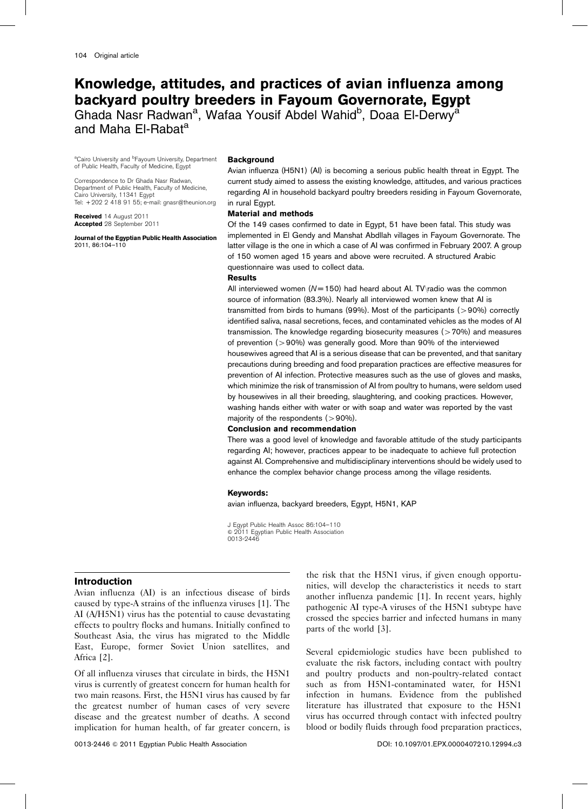# Knowledge, attitudes, and practices of avian influenza among backyard poultry breeders in Fayoum Governorate, Egypt

Ghada Nasr Radwan<sup>a</sup>, Wafaa Yousif Abdel Wahid<sup>b</sup>, Doaa El-Derwy<sup>a</sup> and Maha El-Rabat<sup>a</sup>

<sup>a</sup>Cairo University and <sup>b</sup>Fayoum University, Department of Public Health, Faculty of Medicine, Egypt

Correspondence to Dr Ghada Nasr Radwan, Department of Public Health, Faculty of Medicine, Cairo University, 11341 Egypt Tel: + 202 2 418 91 55; e-mail: gnasr@theunion.org

Received 14 August 2011 Accepted 28 September 2011

Journal of the Egyptian Public Health Association 2011, 86:104–110

### **Background**

Avian influenza (H5N1) (AI) is becoming a serious public health threat in Egypt. The current study aimed to assess the existing knowledge, attitudes, and various practices regarding AI in household backyard poultry breeders residing in Fayoum Governorate, in rural Egypt.

### Material and methods

Of the 149 cases confirmed to date in Egypt, 51 have been fatal. This study was implemented in El Gendy and Manshat Abdllah villages in Fayoum Governorate. The latter village is the one in which a case of AI was confirmed in February 2007. A group of 150 women aged 15 years and above were recruited. A structured Arabic questionnaire was used to collect data.

### Results

All interviewed women ( $N = 150$ ) had heard about Al. TV\radio was the common source of information (83.3%). Nearly all interviewed women knew that AI is transmitted from birds to humans (99%). Most of the participants ( $>$ 90%) correctly identified saliva, nasal secretions, feces, and contaminated vehicles as the modes of AI transmission. The knowledge regarding biosecurity measures ( $>70\%$ ) and measures of prevention ( $>90\%$ ) was generally good. More than 90% of the interviewed housewives agreed that AI is a serious disease that can be prevented, and that sanitary precautions during breeding and food preparation practices are effective measures for prevention of AI infection. Protective measures such as the use of gloves and masks, which minimize the risk of transmission of AI from poultry to humans, were seldom used by housewives in all their breeding, slaughtering, and cooking practices. However, washing hands either with water or with soap and water was reported by the vast majority of the respondents  $(>90\%)$ .

### Conclusion and recommendation

There was a good level of knowledge and favorable attitude of the study participants regarding AI; however, practices appear to be inadequate to achieve full protection against AI. Comprehensive and multidisciplinary interventions should be widely used to enhance the complex behavior change process among the village residents.

#### Keywords:

avian influenza, backyard breeders, Egypt, H5N1, KAP

J Egypt Public Health Assoc 86:104–110 & 2011 Egyptian Public Health Association 0013-2446

### Introduction

Avian influenza (AI) is an infectious disease of birds caused by type-A strains of the influenza viruses [1]. The AI (A/H5N1) virus has the potential to cause devastating effects to poultry flocks and humans. Initially confined to Southeast Asia, the virus has migrated to the Middle East, Europe, former Soviet Union satellites, and Africa [2].

Of all influenza viruses that circulate in birds, the H5N1 virus is currently of greatest concern for human health for two main reasons. First, the H5N1 virus has caused by far the greatest number of human cases of very severe disease and the greatest number of deaths. A second implication for human health, of far greater concern, is the risk that the H5N1 virus, if given enough opportunities, will develop the characteristics it needs to start another influenza pandemic [1]. In recent years, highly pathogenic AI type-A viruses of the H5N1 subtype have crossed the species barrier and infected humans in many parts of the world [3].

Several epidemiologic studies have been published to evaluate the risk factors, including contact with poultry and poultry products and non-poultry-related contact such as from H5N1-contaminated water, for H5N1 infection in humans. Evidence from the published literature has illustrated that exposure to the H5N1 virus has occurred through contact with infected poultry blood or bodily fluids through food preparation practices,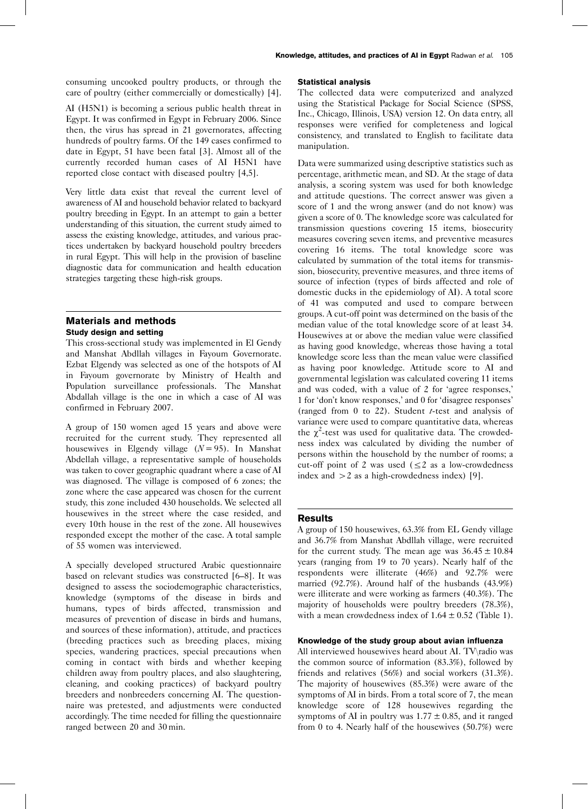consuming uncooked poultry products, or through the care of poultry (either commercially or domestically) [4].

AI (H5N1) is becoming a serious public health threat in Egypt. It was confirmed in Egypt in February 2006. Since then, the virus has spread in 21 governorates, affecting hundreds of poultry farms. Of the 149 cases confirmed to date in Egypt, 51 have been fatal [3]. Almost all of the currently recorded human cases of AI H5N1 have reported close contact with diseased poultry [4,5].

Very little data exist that reveal the current level of awareness of AI and household behavior related to backyard poultry breeding in Egypt. In an attempt to gain a better understanding of this situation, the current study aimed to assess the existing knowledge, attitudes, and various practices undertaken by backyard household poultry breeders in rural Egypt. This will help in the provision of baseline diagnostic data for communication and health education strategies targeting these high-risk groups.

### Materials and methods Study design and setting

This cross-sectional study was implemented in El Gendy and Manshat Abdllah villages in Fayoum Governorate. Ezbat Elgendy was selected as one of the hotspots of AI in Fayoum governorate by Ministry of Health and Population surveillance professionals. The Manshat Abdallah village is the one in which a case of AI was confirmed in February 2007.

A group of 150 women aged 15 years and above were recruited for the current study. They represented all housewives in Elgendy village  $(N = 95)$ . In Manshat Abdellah village, a representative sample of households was taken to cover geographic quadrant where a case of AI was diagnosed. The village is composed of 6 zones; the zone where the case appeared was chosen for the current study, this zone included 430 households. We selected all housewives in the street where the case resided, and every 10th house in the rest of the zone. All housewives responded except the mother of the case. A total sample of 55 women was interviewed.

A specially developed structured Arabic questionnaire based on relevant studies was constructed [6–8]. It was designed to assess the sociodemographic characteristics, knowledge (symptoms of the disease in birds and humans, types of birds affected, transmission and measures of prevention of disease in birds and humans, and sources of these information), attitude, and practices (breeding practices such as breeding places, mixing species, wandering practices, special precautions when coming in contact with birds and whether keeping children away from poultry places, and also slaughtering, cleaning, and cooking practices) of backyard poultry breeders and nonbreeders concerning AI. The questionnaire was pretested, and adjustments were conducted accordingly. The time needed for filling the questionnaire ranged between 20 and 30 min.

### Statistical analysis

The collected data were computerized and analyzed using the Statistical Package for Social Science (SPSS, Inc., Chicago, Illinois, USA) version 12. On data entry, all responses were verified for completeness and logical consistency, and translated to English to facilitate data manipulation.

Data were summarized using descriptive statistics such as percentage, arithmetic mean, and SD. At the stage of data analysis, a scoring system was used for both knowledge and attitude questions. The correct answer was given a score of 1 and the wrong answer (and do not know) was given a score of 0. The knowledge score was calculated for transmission questions covering 15 items, biosecurity measures covering seven items, and preventive measures covering 16 items. The total knowledge score was calculated by summation of the total items for transmission, biosecurity, preventive measures, and three items of source of infection (types of birds affected and role of domestic ducks in the epidemiology of AI). A total score of 41 was computed and used to compare between groups. A cut-off point was determined on the basis of the median value of the total knowledge score of at least 34. Housewives at or above the median value were classified as having good knowledge, whereas those having a total knowledge score less than the mean value were classified as having poor knowledge. Attitude score to AI and governmental legislation was calculated covering 11 items and was coded, with a value of 2 for 'agree responses,' 1 for 'don't know responses,' and 0 for 'disagree responses' (ranged from 0 to 22). Student  $t$ -test and analysis of variance were used to compare quantitative data, whereas the  $\chi^2$ -test was used for qualitative data. The crowdedness index was calculated by dividing the number of persons within the household by the number of rooms; a cut-off point of 2 was used  $(\leq 2$  as a low-crowdedness index and  $>2$  as a high-crowdedness index) [9].

### **Results**

A group of 150 housewives, 63.3% from EL Gendy village and 36.7% from Manshat Abdllah village, were recruited for the current study. The mean age was  $36.45 \pm 10.84$ years (ranging from 19 to 70 years). Nearly half of the respondents were illiterate (46%) and 92.7% were married (92.7%). Around half of the husbands (43.9%) were illiterate and were working as farmers (40.3%). The majority of households were poultry breeders (78.3%), with a mean crowdedness index of  $1.64 \pm 0.52$  (Table 1).

### Knowledge of the study group about avian influenza

All interviewed housewives heard about AI. TV\radio was the common source of information (83.3%), followed by friends and relatives (56%) and social workers (31.3%). The majority of housewives (85.3%) were aware of the symptoms of AI in birds. From a total score of 7, the mean knowledge score of 128 housewives regarding the symptoms of AI in poultry was  $1.77 \pm 0.85$ , and it ranged from 0 to 4. Nearly half of the housewives (50.7%) were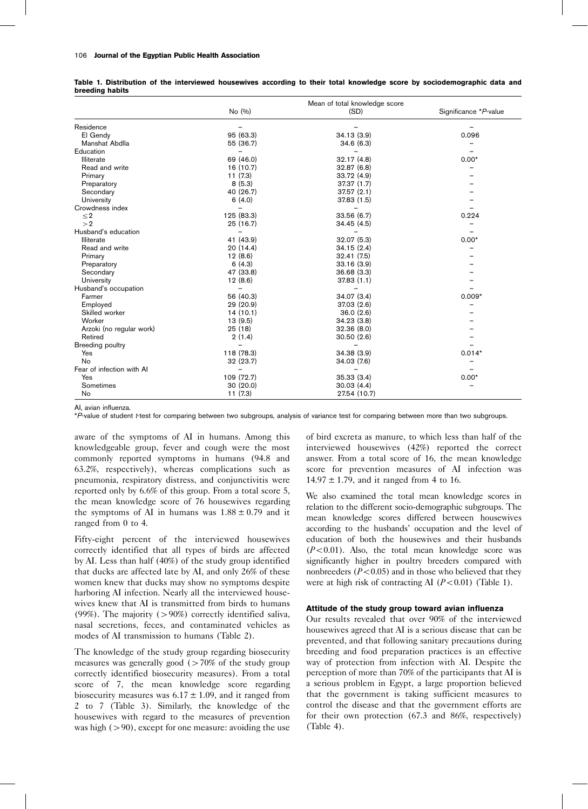#### 106 Journal of the Egyptian Public Health Association

|                           | Mean of total knowledge score |              |                       |
|---------------------------|-------------------------------|--------------|-----------------------|
|                           | No (%)                        | (SD)         | Significance *P-value |
| Residence                 |                               |              |                       |
| El Gendy                  | 95 (63.3)                     | 34.13(3.9)   | 0.096                 |
| Manshat Abdlla            | 55 (36.7)                     | 34.6(6.3)    |                       |
| Education                 |                               |              |                       |
| Illiterate                | 69 (46.0)                     | 32.17(4.8)   | $0.00*$               |
| Read and write            | 16 (10.7)                     | 32.87(6.8)   |                       |
| Primary                   | 11(7.3)                       | 33.72 (4.9)  |                       |
| Preparatory               | 8(5.3)                        | 37.37 (1.7)  |                       |
| Secondary                 | 40 (26.7)                     | 37.57 (2.1)  |                       |
| University                | 6(4.0)                        | 37.83 (1.5)  |                       |
| Crowdness index           |                               |              |                       |
| $\leq$ 2                  | 125 (83.3)                    | 33.56 (6.7)  | 0.224                 |
| >2                        | 25 (16.7)                     | 34.45(4.5)   |                       |
| Husband's education       |                               |              |                       |
| Illiterate                | 41 (43.9)                     | 32.07 (5.3)  | $0.00*$               |
| Read and write            | 20(14.4)                      | 34.15(2.4)   |                       |
| Primary                   | 12(8.6)                       | 32.41 (7.5)  |                       |
| Preparatory               | 6(4.3)                        | 33.16(3.9)   |                       |
| Secondary                 | 47 (33.8)                     | 36.68(3.3)   |                       |
| University                | 12(8.6)                       | 37.83(1.1)   |                       |
| Husband's occupation      |                               |              |                       |
| Farmer                    | 56 (40.3)                     | 34.07 (3.4)  | $0.009*$              |
| Employed                  | 29 (20.9)                     | 37.03(2.6)   |                       |
| Skilled worker            | 14(10.1)                      | 36.0(2.6)    |                       |
| Worker                    | 13(9.5)                       | 34.23(3.8)   |                       |
| Arzoki (no regular work)  | 25(18)                        | 32.36(8.0)   |                       |
| Retired                   | 2(1.4)                        | 30.50(2.6)   |                       |
| <b>Breeding poultry</b>   |                               |              |                       |
| Yes                       | 118 (78.3)                    | 34.38 (3.9)  | $0.014*$              |
| <b>No</b>                 | 32 (23.7)                     | 34.03 (7.6)  |                       |
| Fear of infection with AI |                               |              |                       |
| Yes                       | 109 (72.7)                    | 35.33(3.4)   | $0.00*$               |
| Sometimes                 | 30(20.0)                      | 30.03(4.4)   |                       |
| No                        | 11(7.3)                       | 27.54 (10.7) |                       |

Table 1. Distribution of the interviewed housewives according to their total knowledge score by sociodemographic data and breeding habits

AI, avian influenza.

\*P-value of student t-test for comparing between two subgroups, analysis of variance test for comparing between more than two subgroups.

aware of the symptoms of AI in humans. Among this knowledgeable group, fever and cough were the most commonly reported symptoms in humans (94.8 and 63.2%, respectively), whereas complications such as pneumonia, respiratory distress, and conjunctivitis were reported only by 6.6% of this group. From a total score 5, the mean knowledge score of 76 housewives regarding the symptoms of AI in humans was  $1.88 \pm 0.79$  and it ranged from 0 to 4.

Fifty-eight percent of the interviewed housewives correctly identified that all types of birds are affected by AI. Less than half (40%) of the study group identified that ducks are affected late by AI, and only 26% of these women knew that ducks may show no symptoms despite harboring AI infection. Nearly all the interviewed housewives knew that AI is transmitted from birds to humans (99%). The majority ( $>90\%$ ) correctly identified saliva, nasal secretions, feces, and contaminated vehicles as modes of AI transmission to humans (Table 2).

The knowledge of the study group regarding biosecurity measures was generally good  $(270\% \text{ of the study group})$ correctly identified biosecurity measures). From a total score of 7, the mean knowledge score regarding biosecurity measures was  $6.17 \pm 1.09$ , and it ranged from 2 to 7 (Table 3). Similarly, the knowledge of the housewives with regard to the measures of prevention was high  $(>90)$ , except for one measure: avoiding the use

of bird excreta as manure, to which less than half of the interviewed housewives (42%) reported the correct answer. From a total score of 16, the mean knowledge score for prevention measures of AI infection was  $14.97 \pm 1.79$ , and it ranged from 4 to 16.

We also examined the total mean knowledge scores in relation to the different socio-demographic subgroups. The mean knowledge scores differed between housewives according to the husbands' occupation and the level of education of both the housewives and their husbands  $(P<0.01)$ . Also, the total mean knowledge score was significantly higher in poultry breeders compared with nonbreeders  $(P<0.05)$  and in those who believed that they were at high risk of contracting AI  $(P<0.01)$  (Table 1).

#### Attitude of the study group toward avian influenza

Our results revealed that over 90% of the interviewed housewives agreed that AI is a serious disease that can be prevented, and that following sanitary precautions during breeding and food preparation practices is an effective way of protection from infection with AI. Despite the perception of more than 70% of the participants that AI is a serious problem in Egypt, a large proportion believed that the government is taking sufficient measures to control the disease and that the government efforts are for their own protection (67.3 and 86%, respectively) (Table 4).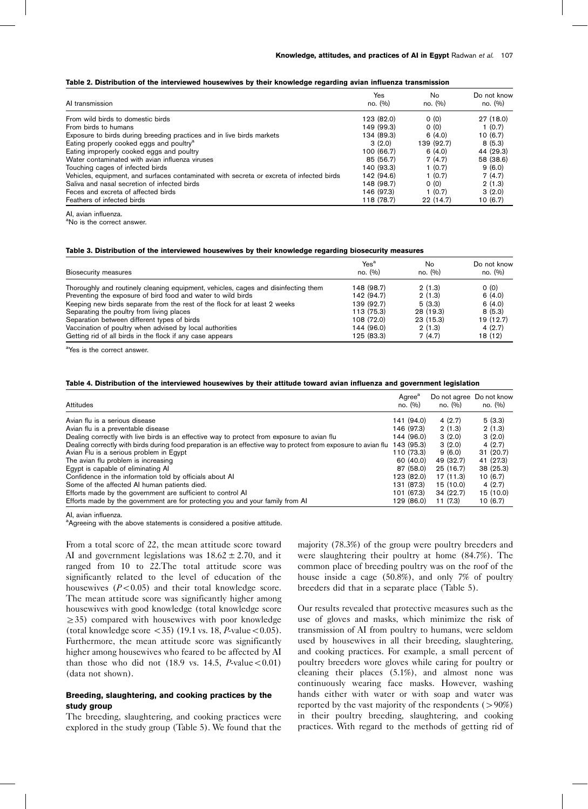| AI transmission                                                                          | Yes<br>no. (%) | No.<br>no. (%) | Do not know<br>no. (%) |
|------------------------------------------------------------------------------------------|----------------|----------------|------------------------|
| From wild birds to domestic birds                                                        | 123 (82.0)     | 0(0)           | 27 (18.0)              |
| From birds to humans                                                                     | 149 (99.3)     | 0(0)           | 1(0.7)                 |
| Exposure to birds during breeding practices and in live birds markets                    | 134 (89.3)     | 6(4.0)         | 10(6.7)                |
| Eating properly cooked eggs and poultry <sup>a</sup>                                     | 3(2.0)         | 139 (92.7)     | 8 (5.3)                |
| Eating improperly cooked eggs and poultry                                                | 100 (66.7)     | 6(4.0)         | 44 (29.3)              |
| Water contaminated with avian influenza viruses                                          | 85 (56.7)      | 7(4.7)         | 58 (38.6)              |
| Touching cages of infected birds                                                         | 140 (93.3)     | 1(0.7)         | 9(6.0)                 |
| Vehicles, equipment, and surfaces contaminated with secreta or excreta of infected birds | 142 (94.6)     | 1(0.7)         | 7(4.7)                 |
| Saliva and nasal secretion of infected birds                                             | 148 (98.7)     | 0(0)           | 2(1.3)                 |
| Feces and excreta of affected birds                                                      | 146 (97.3)     | 1(0.7)         | 3(2.0)                 |
| Feathers of infected birds                                                               | 118 (78.7)     | 22(14.7)       | 10(6.7)                |

AI, avian influenza.

<sup>a</sup>No is the correct answer.

### Table 3. Distribution of the interviewed housewives by their knowledge regarding biosecurity measures

| Biosecurity measures                                                               | Yes <sup>a</sup><br>no. (%) | No<br>no. (%) | Do not know<br>no. (%) |
|------------------------------------------------------------------------------------|-----------------------------|---------------|------------------------|
| Thoroughly and routinely cleaning equipment, vehicles, cages and disinfecting them | 148 (98.7)                  | 2(1.3)        | 0(0)                   |
| Preventing the exposure of bird food and water to wild birds                       | 142 (94.7)                  | 2(1.3)        | 6(4.0)                 |
| Keeping new birds separate from the rest of the flock for at least 2 weeks         | 139 (92.7)                  | 5(3.3)        | 6(4.0)                 |
| Separating the poultry from living places                                          | 113 (75.3)                  | 28 (19.3)     | 8(5.3)                 |
| Separation between different types of birds                                        | 108 (72.0)                  | 23(15.3)      | 19 (12.7)              |
| Vaccination of poultry when advised by local authorities                           | 144 (96.0)                  | 2(1.3)        | 4(2.7)                 |
| Getting rid of all birds in the flock if any case appears                          | 125 (83.3)                  | 7(4.7)        | 18 (12)                |

<sup>a</sup>Yes is the correct answer.

#### Table 4. Distribution of the interviewed housewives by their attitude toward avian influenza and government legislation

| Attitudes                                                                                                      | Agree <sup>a</sup><br>no. (%) | Do not agree Do not know<br>no. (%) | no. (%)   |
|----------------------------------------------------------------------------------------------------------------|-------------------------------|-------------------------------------|-----------|
| Avian flu is a serious disease                                                                                 | 141 (94.0)                    | 4(2.7)                              | 5(3.3)    |
| Avian flu is a preventable disease                                                                             | 146 (97.3)                    | 2(1.3)                              | 2(1.3)    |
| Dealing correctly with live birds is an effective way to protect from exposure to avian flu                    | 144 (96.0)                    | 3(2.0)                              | 3(2.0)    |
| Dealing correctly with birds during food preparation is an effective way to protect from exposure to avian flu | 143 (95.3)                    | 3(2.0)                              | 4(2.7)    |
| Avian Flu is a serious problem in Egypt                                                                        | 110 (73.3)                    | 9(6.0)                              | 31(20.7)  |
| The avian flu problem is increasing                                                                            | 60 (40.0)                     | 49 (32.7)                           | 41 (27.3) |
| Eqypt is capable of eliminating AI                                                                             | 87 (58.0)                     | 25(16.7)                            | 38 (25.3) |
| Confidence in the information told by officials about Al                                                       | 123(82.0)                     | 17 (11.3)                           | 10(6.7)   |
| Some of the affected AI human patients died.                                                                   | 131 (87.3)                    | 15 (10.0)                           | 4(2.7)    |
| Efforts made by the government are sufficient to control AI                                                    | 101 (67.3)                    | 34(22.7)                            | 15 (10.0) |
| Efforts made by the government are for protecting you and your family from AI                                  | 129 (86.0)                    | 11(7.3)                             | 10(6.7)   |

AI, avian influenza.

<sup>a</sup>Agreeing with the above statements is considered a positive attitude.

From a total score of 22, the mean attitude score toward AI and government legislations was  $18.62 \pm 2.70$ , and it ranged from 10 to 22.The total attitude score was significantly related to the level of education of the housewives  $(P<0.05)$  and their total knowledge score. The mean attitude score was significantly higher among housewives with good knowledge (total knowledge score  $\geq$ 35) compared with housewives with poor knowledge (total knowledge score  $\langle 35 \rangle$  (19.1 vs. 18, *P*-value $\langle 0.05 \rangle$ . Furthermore, the mean attitude score was significantly higher among housewives who feared to be affected by AI than those who did not  $(18.9 \text{ vs. } 14.5, P-value < 0.01)$ (data not shown).

### Breeding, slaughtering, and cooking practices by the study group

The breeding, slaughtering, and cooking practices were explored in the study group (Table 5). We found that the majority (78.3%) of the group were poultry breeders and were slaughtering their poultry at home (84.7%). The common place of breeding poultry was on the roof of the house inside a cage (50.8%), and only 7% of poultry breeders did that in a separate place (Table 5).

Our results revealed that protective measures such as the use of gloves and masks, which minimize the risk of transmission of AI from poultry to humans, were seldom used by housewives in all their breeding, slaughtering, and cooking practices. For example, a small percent of poultry breeders wore gloves while caring for poultry or cleaning their places (5.1%), and almost none was continuously wearing face masks. However, washing hands either with water or with soap and water was reported by the vast majority of the respondents  $(>90%)$ in their poultry breeding, slaughtering, and cooking practices. With regard to the methods of getting rid of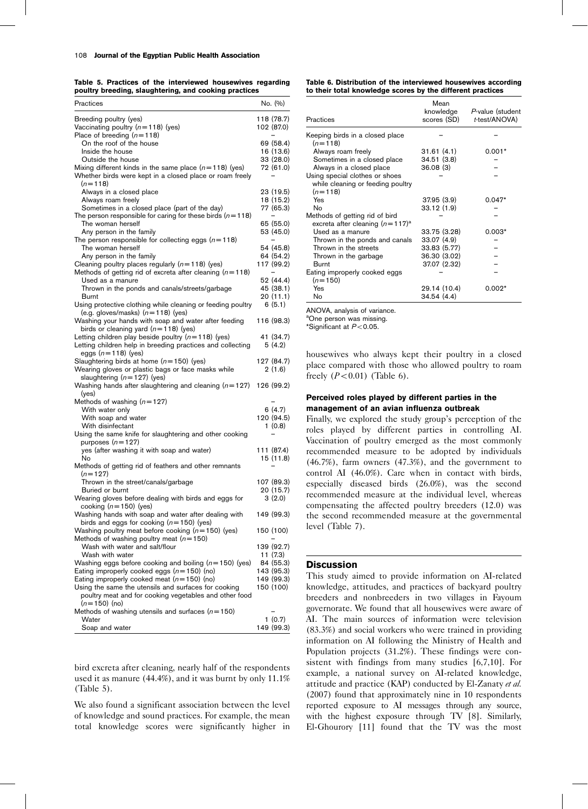Table 5. Practices of the interviewed housewives regarding poultry breeding, slaughtering, and cooking practices

| Practices                                                                                            | No. (%)                 |
|------------------------------------------------------------------------------------------------------|-------------------------|
| Breeding poultry (yes)                                                                               | 118 (78.7)              |
| Vaccinating poultry $(n=118)$ (yes)                                                                  | 102 (87.0)              |
| Place of breeding $(n=118)$                                                                          |                         |
| On the roof of the house                                                                             | 69 (58.4)               |
| Inside the house                                                                                     | 16 (13.6)               |
| Outside the house                                                                                    | 33 (28.0)               |
| Mixing different kinds in the same place $(n=118)$ (yes)                                             | 72 (61.0)               |
| Whether birds were kept in a closed place or roam freely                                             |                         |
| $(n=118)$<br>Always in a closed place                                                                | 23 (19.5)               |
| Always roam freely                                                                                   | 18 (15.2)               |
| Sometimes in a closed place (part of the day)                                                        | 77 (65.3)               |
| The person responsible for caring for these birds $(n=118)$                                          |                         |
| The woman herself                                                                                    | 65 (55.0)               |
| Any person in the family                                                                             | 53 (45.0)               |
| The person responsible for collecting eggs $(n=118)$                                                 |                         |
| The woman herself                                                                                    | 54 (45.8)               |
| Any person in the family                                                                             | 64 (54.2)               |
| Cleaning poultry places regularly $(n=118)$ (yes)                                                    | 117 (99.2)              |
| Methods of getting rid of excreta after cleaning $(n=118)$<br>Used as a manure                       | 52 (44.4)               |
| Thrown in the ponds and canals/streets/garbage                                                       | 45 (38.1)               |
| Burnt                                                                                                | 20(11.1)                |
| Using protective clothing while cleaning or feeding poultry                                          | 6(5.1)                  |
| (e.g. gloves/masks) $(n=118)$ (yes)                                                                  |                         |
| Washing your hands with soap and water after feeding                                                 | 116 (98.3)              |
| birds or cleaning yard $(n=118)$ (yes)                                                               |                         |
| Letting children play beside poultry $(n=118)$ (yes)                                                 | 41 (34.7)               |
| Letting children help in breeding practices and collecting                                           | 5(4.2)                  |
| eggs $(n=118)$ (yes)                                                                                 |                         |
| Slaughtering birds at home $(n=150)$ (yes)                                                           | 127 (84.7)              |
| Wearing gloves or plastic bags or face masks while<br>slaughtering $(n=127)$ (yes)                   | 2(1.6)                  |
| Washing hands after slaughtering and cleaning $(n=127)$                                              | 126 (99.2)              |
| (yes)                                                                                                |                         |
| Methods of washing $(n=127)$                                                                         |                         |
| With water only                                                                                      | 6 (4.7)                 |
| With soap and water                                                                                  | 120 (94.5)              |
| With disinfectant                                                                                    | 1(0.8)                  |
| Using the same knife for slaughtering and other cooking                                              |                         |
| purposes $(n=127)$                                                                                   |                         |
| yes (after washing it with soap and water)<br>No                                                     | 111 (87.4)<br>15 (11.8) |
| Methods of getting rid of feathers and other remnants                                                |                         |
| $(n=127)$                                                                                            |                         |
| Thrown in the street/canals/garbage                                                                  | 107 (89.3)              |
| Buried or burnt                                                                                      | 20 (15.7)               |
| Wearing gloves before dealing with birds and eggs for                                                | 3(2.0)                  |
| cooking ( $n = 150$ ) (yes)                                                                          |                         |
| Washing hands with soap and water after dealing with                                                 | 149 (99.3)              |
| birds and eggs for cooking $(n=150)$ (yes)                                                           |                         |
| Washing poultry meat before cooking $(n=150)$ (yes)<br>Methods of washing poultry meat ( $n = 150$ ) | 150 (100)               |
| Wash with water and salt/flour                                                                       | 139 (92.7)              |
| Wash with water                                                                                      | 11 (7.3)                |
| Washing eggs before cooking and boiling $(n=150)$ (yes)                                              | 84 (55.3)               |
| Eating improperly cooked eggs $(n=150)$ (no)                                                         | 143 (95.3)              |
| Eating improperly cooked meat $(n=150)$ (no)                                                         | 149 (99.3)              |
| Using the same the utensils and surfaces for cooking                                                 | 150 (100)               |
| poultry meat and for cooking vegetables and other food                                               |                         |
| $(n=150)$ (no)                                                                                       |                         |
| Methods of washing utensils and surfaces $(n=150)$<br>Water                                          | 1(0.7)                  |
| Soap and water                                                                                       | 149 (99.3)              |
|                                                                                                      |                         |

bird excreta after cleaning, nearly half of the respondents used it as manure (44.4%), and it was burnt by only 11.1% (Table 5).

We also found a significant association between the level of knowledge and sound practices. For example, the mean total knowledge scores were significantly higher in Table 6. Distribution of the interviewed housewives according to their total knowledge scores by the different practices

| Practices                                                                        | Mean<br>knowledge<br>scores (SD) | P-value (student<br>t-test/ANOVA) |
|----------------------------------------------------------------------------------|----------------------------------|-----------------------------------|
| Keeping birds in a closed place<br>$(n=118)$                                     |                                  |                                   |
| Always roam freely                                                               | 31.61(4.1)                       | $0.001*$                          |
| Sometimes in a closed place                                                      | 34.51 (3.8)                      |                                   |
| Always in a closed place                                                         | 36.08(3)                         |                                   |
| Using special clothes or shoes<br>while cleaning or feeding poultry<br>$(n=118)$ |                                  |                                   |
| Yes                                                                              | 37.95(3.9)                       | $0.047*$                          |
| No                                                                               | 33.12 (1.9)                      |                                   |
| Methods of getting rid of bird<br>excreta after cleaning $(n=117)^a$             |                                  |                                   |
| Used as a manure                                                                 | 33.75 (3.28)                     | $0.003*$                          |
| Thrown in the ponds and canals                                                   | 33.07 (4.9)                      |                                   |
| Thrown in the streets                                                            | 33.83 (5.77)                     |                                   |
| Thrown in the garbage                                                            | 36.30 (3.02)                     |                                   |
| <b>Burnt</b>                                                                     | 37.07 (2.32)                     |                                   |
| Eating improperly cooked eggs<br>$(n=150)$                                       |                                  |                                   |
| Yes                                                                              | 29.14 (10.4)                     | $0.002*$                          |
| No                                                                               | 34.54 (4.4)                      |                                   |

ANOVA, analysis of variance.

<sup>a</sup>One person was missing.

\*Significant at  $P<$  0.05.

housewives who always kept their poultry in a closed place compared with those who allowed poultry to roam freely  $(P<0.01)$  (Table 6).

### Perceived roles played by different parties in the management of an avian influenza outbreak

Finally, we explored the study group's perception of the roles played by different parties in controlling AI. Vaccination of poultry emerged as the most commonly recommended measure to be adopted by individuals (46.7%), farm owners (47.3%), and the government to control AI (46.0%). Care when in contact with birds, especially diseased birds (26.0%), was the second recommended measure at the individual level, whereas compensating the affected poultry breeders (12.0) was the second recommended measure at the governmental level (Table 7).

### **Discussion**

This study aimed to provide information on AI-related knowledge, attitudes, and practices of backyard poultry breeders and nonbreeders in two villages in Fayoum governorate. We found that all housewives were aware of AI. The main sources of information were television (83.3%) and social workers who were trained in providing information on AI following the Ministry of Health and Population projects (31.2%). These findings were consistent with findings from many studies [6,7,10]. For example, a national survey on AI-related knowledge, attitude and practice (KAP) conducted by El-Zanaty et al. (2007) found that approximately nine in 10 respondents reported exposure to AI messages through any source, with the highest exposure through TV [8]. Similarly, El-Ghourory [11] found that the TV was the most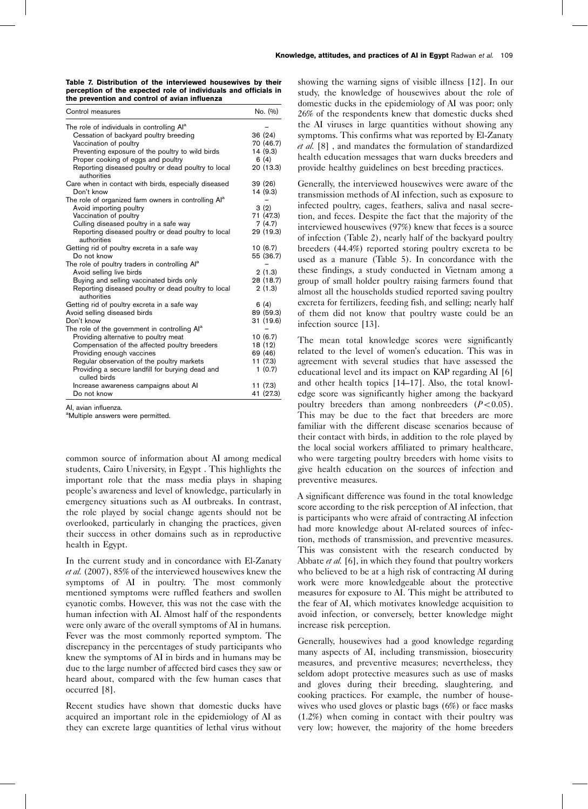Table 7. Distribution of the interviewed housewives by their perception of the expected role of individuals and officials in the prevention and control of avian influenza

| The role of individuals in controlling Al <sup>a</sup><br>Cessation of backyard poultry breeding<br>Vaccination of poultry<br>Preventing exposure of the poultry to wild birds<br>Proper cooking of eggs and poultry<br>6(4)<br>Reporting diseased poultry or dead poultry to local<br>authorities<br>Care when in contact with birds, especially diseased<br>Don't know<br>The role of organized farm owners in controlling Al <sup>a</sup><br>3(2)<br>Avoid importing poultry<br>Vaccination of poultry<br>Culling diseased poultry in a safe way<br>Reporting diseased poultry or dead poultry to local<br>authorities<br>Getting rid of poultry excreta in a safe way<br>Do not know<br>The role of poultry traders in controlling Al <sup>a</sup><br>Avoid selling live birds<br>Buying and selling vaccinated birds only<br>Reporting diseased poultry or dead poultry to local<br>authorities<br>Getting rid of poultry excreta in a safe way<br>6(4) | Control measures             | No. (%)   |
|--------------------------------------------------------------------------------------------------------------------------------------------------------------------------------------------------------------------------------------------------------------------------------------------------------------------------------------------------------------------------------------------------------------------------------------------------------------------------------------------------------------------------------------------------------------------------------------------------------------------------------------------------------------------------------------------------------------------------------------------------------------------------------------------------------------------------------------------------------------------------------------------------------------------------------------------------------------|------------------------------|-----------|
|                                                                                                                                                                                                                                                                                                                                                                                                                                                                                                                                                                                                                                                                                                                                                                                                                                                                                                                                                              |                              |           |
|                                                                                                                                                                                                                                                                                                                                                                                                                                                                                                                                                                                                                                                                                                                                                                                                                                                                                                                                                              |                              | 36 (24)   |
|                                                                                                                                                                                                                                                                                                                                                                                                                                                                                                                                                                                                                                                                                                                                                                                                                                                                                                                                                              |                              | 70 (46.7) |
|                                                                                                                                                                                                                                                                                                                                                                                                                                                                                                                                                                                                                                                                                                                                                                                                                                                                                                                                                              |                              | 14 (9.3)  |
|                                                                                                                                                                                                                                                                                                                                                                                                                                                                                                                                                                                                                                                                                                                                                                                                                                                                                                                                                              |                              |           |
|                                                                                                                                                                                                                                                                                                                                                                                                                                                                                                                                                                                                                                                                                                                                                                                                                                                                                                                                                              |                              | 20 (13.3) |
|                                                                                                                                                                                                                                                                                                                                                                                                                                                                                                                                                                                                                                                                                                                                                                                                                                                                                                                                                              |                              | 39 (26)   |
|                                                                                                                                                                                                                                                                                                                                                                                                                                                                                                                                                                                                                                                                                                                                                                                                                                                                                                                                                              |                              | 14 (9.3)  |
|                                                                                                                                                                                                                                                                                                                                                                                                                                                                                                                                                                                                                                                                                                                                                                                                                                                                                                                                                              |                              |           |
|                                                                                                                                                                                                                                                                                                                                                                                                                                                                                                                                                                                                                                                                                                                                                                                                                                                                                                                                                              |                              |           |
|                                                                                                                                                                                                                                                                                                                                                                                                                                                                                                                                                                                                                                                                                                                                                                                                                                                                                                                                                              |                              | 71 (47.3) |
|                                                                                                                                                                                                                                                                                                                                                                                                                                                                                                                                                                                                                                                                                                                                                                                                                                                                                                                                                              |                              | 7(4.7)    |
|                                                                                                                                                                                                                                                                                                                                                                                                                                                                                                                                                                                                                                                                                                                                                                                                                                                                                                                                                              |                              | 29 (19.3) |
|                                                                                                                                                                                                                                                                                                                                                                                                                                                                                                                                                                                                                                                                                                                                                                                                                                                                                                                                                              |                              | 10 (6.7)  |
|                                                                                                                                                                                                                                                                                                                                                                                                                                                                                                                                                                                                                                                                                                                                                                                                                                                                                                                                                              |                              | 55 (36.7) |
|                                                                                                                                                                                                                                                                                                                                                                                                                                                                                                                                                                                                                                                                                                                                                                                                                                                                                                                                                              |                              |           |
|                                                                                                                                                                                                                                                                                                                                                                                                                                                                                                                                                                                                                                                                                                                                                                                                                                                                                                                                                              |                              | 2(1.3)    |
|                                                                                                                                                                                                                                                                                                                                                                                                                                                                                                                                                                                                                                                                                                                                                                                                                                                                                                                                                              |                              | 28 (18.7) |
|                                                                                                                                                                                                                                                                                                                                                                                                                                                                                                                                                                                                                                                                                                                                                                                                                                                                                                                                                              |                              | 2(1.3)    |
|                                                                                                                                                                                                                                                                                                                                                                                                                                                                                                                                                                                                                                                                                                                                                                                                                                                                                                                                                              |                              |           |
|                                                                                                                                                                                                                                                                                                                                                                                                                                                                                                                                                                                                                                                                                                                                                                                                                                                                                                                                                              | Avoid selling diseased birds | 89 (59.3) |
| Don't know                                                                                                                                                                                                                                                                                                                                                                                                                                                                                                                                                                                                                                                                                                                                                                                                                                                                                                                                                   |                              | 31 (19.6) |
| The role of the government in controlling Al <sup>a</sup>                                                                                                                                                                                                                                                                                                                                                                                                                                                                                                                                                                                                                                                                                                                                                                                                                                                                                                    |                              |           |
| Providing alternative to poultry meat                                                                                                                                                                                                                                                                                                                                                                                                                                                                                                                                                                                                                                                                                                                                                                                                                                                                                                                        |                              | 10(6.7)   |
| Compensation of the affected poultry breeders                                                                                                                                                                                                                                                                                                                                                                                                                                                                                                                                                                                                                                                                                                                                                                                                                                                                                                                |                              | 18 (12)   |
| Providing enough vaccines                                                                                                                                                                                                                                                                                                                                                                                                                                                                                                                                                                                                                                                                                                                                                                                                                                                                                                                                    |                              | 69 (46)   |
| Regular observation of the poultry markets                                                                                                                                                                                                                                                                                                                                                                                                                                                                                                                                                                                                                                                                                                                                                                                                                                                                                                                   |                              | 11(7.3)   |
| Providing a secure landfill for burying dead and<br>culled birds                                                                                                                                                                                                                                                                                                                                                                                                                                                                                                                                                                                                                                                                                                                                                                                                                                                                                             |                              | 1(0.7)    |
| Increase awareness campaigns about AI                                                                                                                                                                                                                                                                                                                                                                                                                                                                                                                                                                                                                                                                                                                                                                                                                                                                                                                        |                              | 11(7.3)   |
| Do not know                                                                                                                                                                                                                                                                                                                                                                                                                                                                                                                                                                                                                                                                                                                                                                                                                                                                                                                                                  |                              | 41 (27.3) |

AI, avian influenza.

<sup>a</sup>Multiple answers were permitted.

common source of information about AI among medical students, Cairo University, in Egypt . This highlights the important role that the mass media plays in shaping people's awareness and level of knowledge, particularly in emergency situations such as AI outbreaks. In contrast, the role played by social change agents should not be overlooked, particularly in changing the practices, given their success in other domains such as in reproductive health in Egypt.

In the current study and in concordance with El-Zanaty et al. (2007), 85% of the interviewed housewives knew the symptoms of AI in poultry. The most commonly mentioned symptoms were ruffled feathers and swollen cyanotic combs. However, this was not the case with the human infection with AI. Almost half of the respondents were only aware of the overall symptoms of AI in humans. Fever was the most commonly reported symptom. The discrepancy in the percentages of study participants who knew the symptoms of AI in birds and in humans may be due to the large number of affected bird cases they saw or heard about, compared with the few human cases that occurred [8].

Recent studies have shown that domestic ducks have acquired an important role in the epidemiology of AI as they can excrete large quantities of lethal virus without

showing the warning signs of visible illness [12]. In our study, the knowledge of housewives about the role of domestic ducks in the epidemiology of AI was poor; only 26% of the respondents knew that domestic ducks shed the AI viruses in large quantities without showing any symptoms. This confirms what was reported by El-Zanaty et al. [8], and mandates the formulation of standardized health education messages that warn ducks breeders and provide healthy guidelines on best breeding practices.

Generally, the interviewed housewives were aware of the transmission methods of AI infection, such as exposure to infected poultry, cages, feathers, saliva and nasal secretion, and feces. Despite the fact that the majority of the interviewed housewives (97%) knew that feces is a source of infection (Table 2), nearly half of the backyard poultry breeders (44.4%) reported storing poultry excreta to be used as a manure (Table 5). In concordance with the these findings, a study conducted in Vietnam among a group of small holder poultry raising farmers found that almost all the households studied reported saving poultry excreta for fertilizers, feeding fish, and selling; nearly half of them did not know that poultry waste could be an infection source [13].

The mean total knowledge scores were significantly related to the level of women's education. This was in agreement with several studies that have assessed the educational level and its impact on KAP regarding AI [6] and other health topics [14–17]. Also, the total knowledge score was significantly higher among the backyard poultry breeders than among nonbreeders  $(P<0.05)$ . This may be due to the fact that breeders are more familiar with the different disease scenarios because of their contact with birds, in addition to the role played by the local social workers affiliated to primary healthcare, who were targeting poultry breeders with home visits to give health education on the sources of infection and preventive measures.

A significant difference was found in the total knowledge score according to the risk perception of AI infection, that is participants who were afraid of contracting AI infection had more knowledge about AI-related sources of infection, methods of transmission, and preventive measures. This was consistent with the research conducted by Abbate et al. [6], in which they found that poultry workers who believed to be at a high risk of contracting AI during work were more knowledgeable about the protective measures for exposure to AI. This might be attributed to the fear of AI, which motivates knowledge acquisition to avoid infection, or conversely, better knowledge might increase risk perception.

Generally, housewives had a good knowledge regarding many aspects of AI, including transmission, biosecurity measures, and preventive measures; nevertheless, they seldom adopt protective measures such as use of masks and gloves during their breeding, slaughtering, and cooking practices. For example, the number of housewives who used gloves or plastic bags (6%) or face masks (1.2%) when coming in contact with their poultry was very low; however, the majority of the home breeders